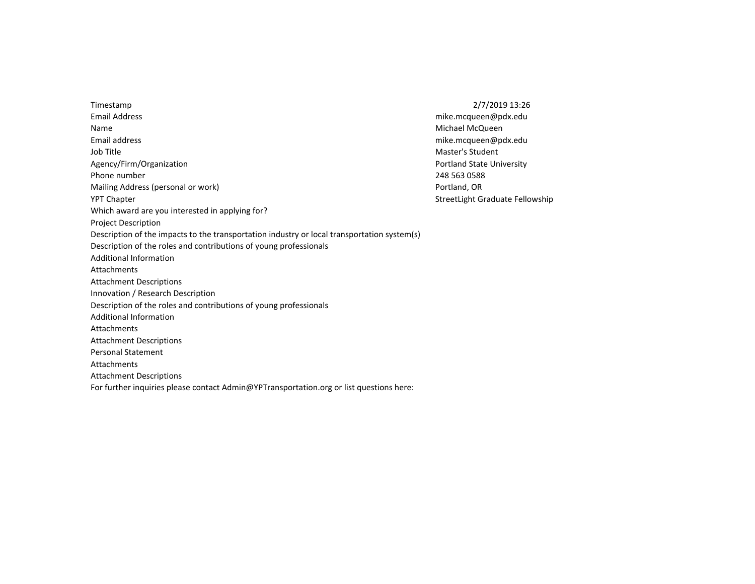Timestamp Email AddressName Email addressJob Title Agency/Firm/OrganizationPhone number Mailing Address (personal or work)YPT Chapter Which award are you interested in applying for? mike.mcqueen@pdx.eduMichael McQueen mike.mcqueen@pdx.eduMaster's Student Portland State University248 563 0588 Portland, OR StreetLight Graduate FellowshipProject Description Description of the impacts to the transportation industry or local transportation system(s)Description of the roles and contributions of young professionalsAdditional InformationAttachments Attachment Descriptions Innovation / Research Description Description of the roles and contributions of young professionalsAdditional InformationAttachments Attachment DescriptionsPersonal StatementAttachments Attachment DescriptionsFor further inquiries please contact Admin@YPTransportation.org or list questions here:

2/7/2019 13:26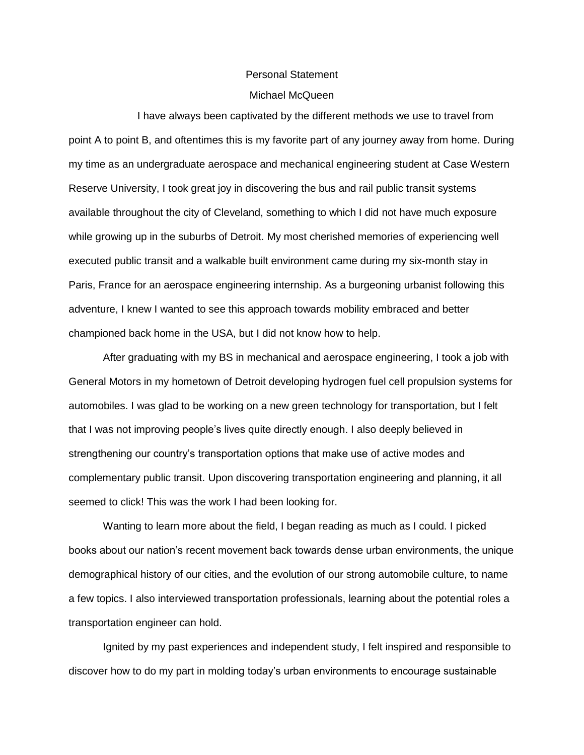## Personal Statement

## Michael McQueen

I have always been captivated by the different methods we use to travel from point A to point B, and oftentimes this is my favorite part of any journey away from home. During my time as an undergraduate aerospace and mechanical engineering student at Case Western Reserve University, I took great joy in discovering the bus and rail public transit systems available throughout the city of Cleveland, something to which I did not have much exposure while growing up in the suburbs of Detroit. My most cherished memories of experiencing well executed public transit and a walkable built environment came during my six-month stay in Paris, France for an aerospace engineering internship. As a burgeoning urbanist following this adventure, I knew I wanted to see this approach towards mobility embraced and better championed back home in the USA, but I did not know how to help.

After graduating with my BS in mechanical and aerospace engineering, I took a job with General Motors in my hometown of Detroit developing hydrogen fuel cell propulsion systems for automobiles. I was glad to be working on a new green technology for transportation, but I felt that I was not improving people's lives quite directly enough. I also deeply believed in strengthening our country's transportation options that make use of active modes and complementary public transit. Upon discovering transportation engineering and planning, it all seemed to click! This was the work I had been looking for.

Wanting to learn more about the field, I began reading as much as I could. I picked books about our nation's recent movement back towards dense urban environments, the unique demographical history of our cities, and the evolution of our strong automobile culture, to name a few topics. I also interviewed transportation professionals, learning about the potential roles a transportation engineer can hold.

Ignited by my past experiences and independent study, I felt inspired and responsible to discover how to do my part in molding today's urban environments to encourage sustainable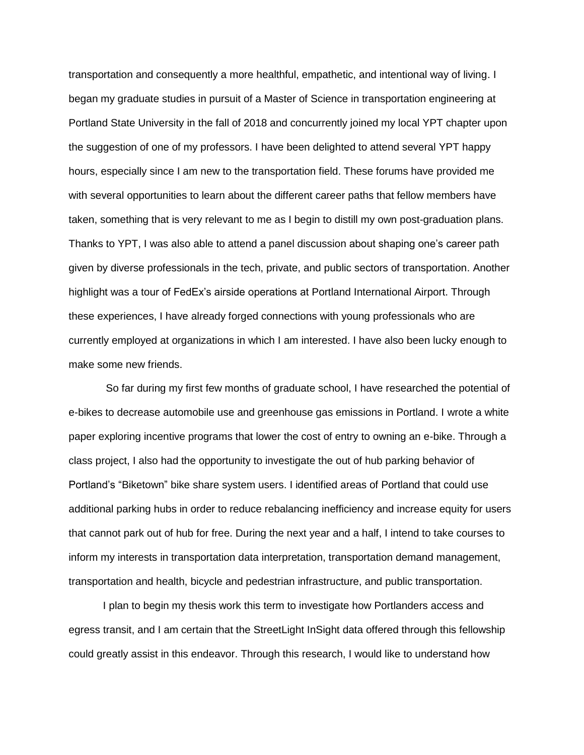transportation and consequently a more healthful, empathetic, and intentional way of living. I began my graduate studies in pursuit of a Master of Science in transportation engineering at Portland State University in the fall of 2018 and concurrently joined my local YPT chapter upon the suggestion of one of my professors. I have been delighted to attend several YPT happy hours, especially since I am new to the transportation field. These forums have provided me with several opportunities to learn about the different career paths that fellow members have taken, something that is very relevant to me as I begin to distill my own post-graduation plans. Thanks to YPT, I was also able to attend a panel discussion about shaping one's career path given by diverse professionals in the tech, private, and public sectors of transportation. Another highlight was a tour of FedEx's airside operations at Portland International Airport. Through these experiences, I have already forged connections with young professionals who are currently employed at organizations in which I am interested. I have also been lucky enough to make some new friends.

So far during my first few months of graduate school, I have researched the potential of e-bikes to decrease automobile use and greenhouse gas emissions in Portland. I wrote a white paper exploring incentive programs that lower the cost of entry to owning an e-bike. Through a class project, I also had the opportunity to investigate the out of hub parking behavior of Portland's "Biketown" bike share system users. I identified areas of Portland that could use additional parking hubs in order to reduce rebalancing inefficiency and increase equity for users that cannot park out of hub for free. During the next year and a half, I intend to take courses to inform my interests in transportation data interpretation, transportation demand management, transportation and health, bicycle and pedestrian infrastructure, and public transportation.

I plan to begin my thesis work this term to investigate how Portlanders access and egress transit, and I am certain that the StreetLight InSight data offered through this fellowship could greatly assist in this endeavor. Through this research, I would like to understand how